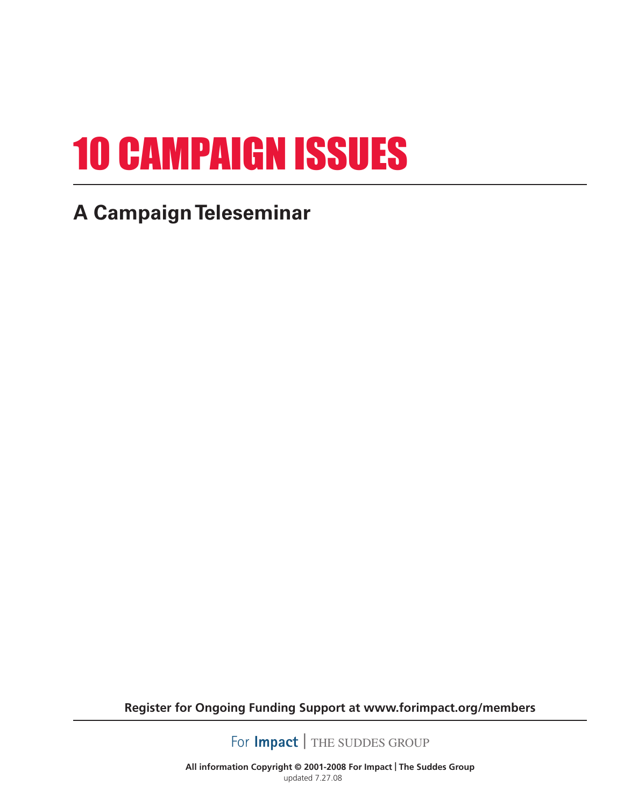# 10 campaign issues

### **A Campaign Teleseminar**

**Register for Ongoing Funding Support at www.forimpact.org/members**

For **Impact** | THE SUDDES GROUP

**All information Copyright © 2001-2008 For Impact | The Suddes Group**  updated 7.27.08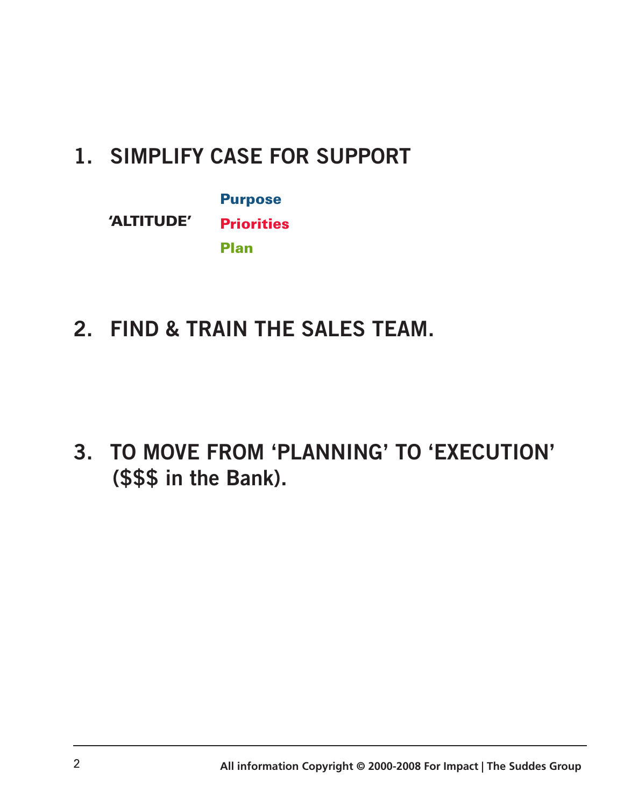### **1. SIMPLIFY CASE for SUPPORT**

|            | <b>Purpose</b>    |
|------------|-------------------|
| 'ALTITUDE' | <b>Priorities</b> |
|            | <b>Plan</b>       |

**2. FIND & TRAIN the SALES TEAM.**

**3. To move from 'PLANNING' to 'EXECUTION' (\$\$\$ in the Bank).**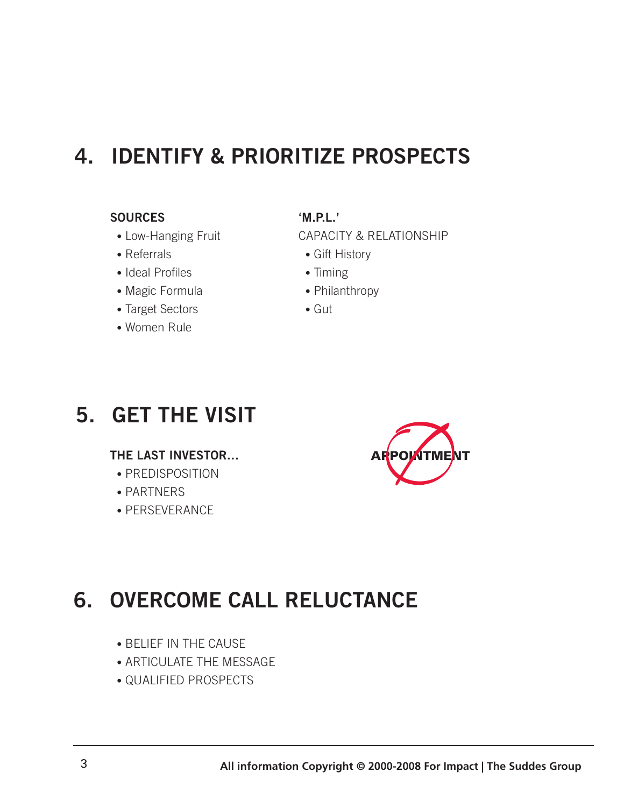### **4. IDENTIFY & PRIORITIZE PROSPECTS**

#### **Sources**

- Low-Hanging Fruit
- Referrals
- Ideal Profiles
- Magic Formula
- Target Sectors
- Women Rule

#### **'M.P.L.'**

CAPACITY & RELATIONSHIP

- Gift History
- Timing
- Philanthropy
- Gut

### **5. GET THE VISIT**

#### **THE LAST INVESTOR…**

- PREDISPOSITION
- PARTNERS
- PERSEVERANCE



### **6. OVERCOME CALL RELUCTANCE**

- BELIEF IN THE CAUSE
- ARTICULATE THE MESSAGE
- QUALIFIED PROSPECTS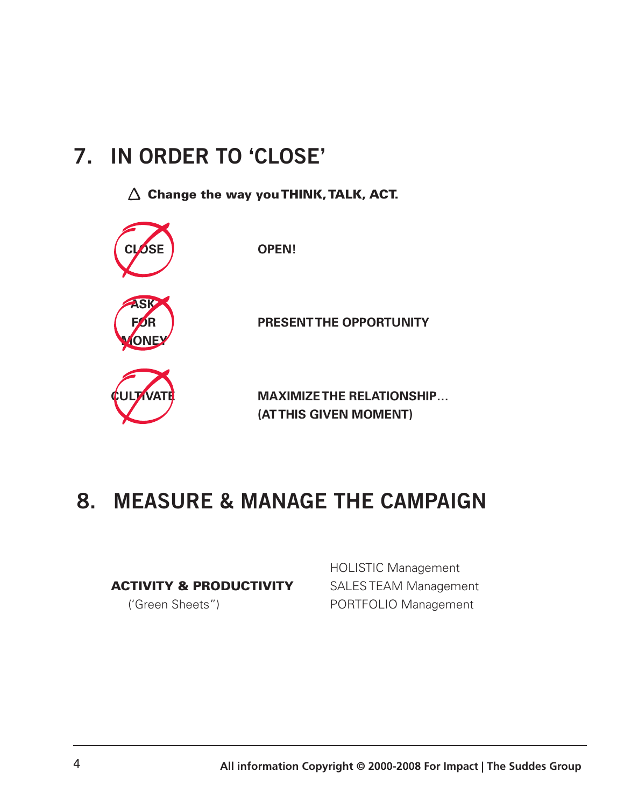### **7. In ORDER to 'CLOSE'**

 $\triangle$  Change the way you THINK, TALK, ACT.



#### **8. MEASURE & MANAGE the CAMPAIGN**

#### ACTIVITY & PRODUCTIVITY

('Green Sheets")

HOLISTIC Management SALES TEAM Management PORTFOLIO Management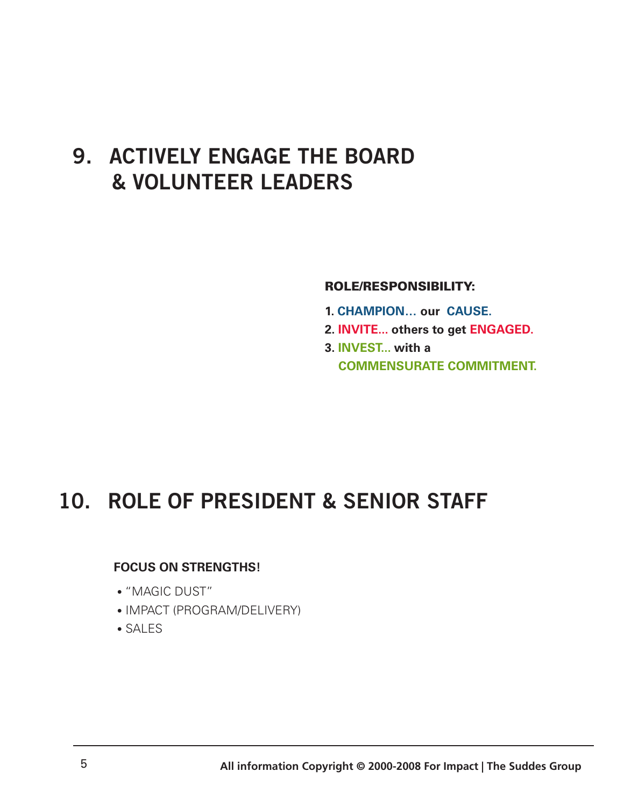#### **9. ACTIVELY ENGAGE the BOARD & VOLUNTEER LEADERS**

#### Role/Responsibility:

- **1. CHAMPION… our CAUSE.**
- **2. INVITE... others to get ENGAGED.**
- **3. INVEST... with a COMMENSURATE COMMITMENT.**

#### **10. ROLE of PRESIDENT & SENIOR STAFF**

#### **FOCUS ON STRENGTHS!**

- "MAGIC DUST"
- IMPACT (PROGRAM/DELIVERY)
- SALES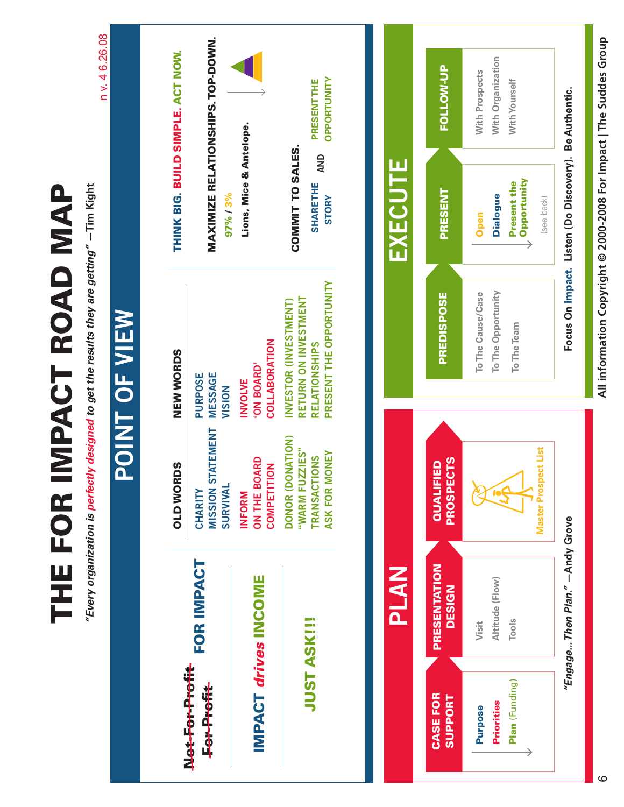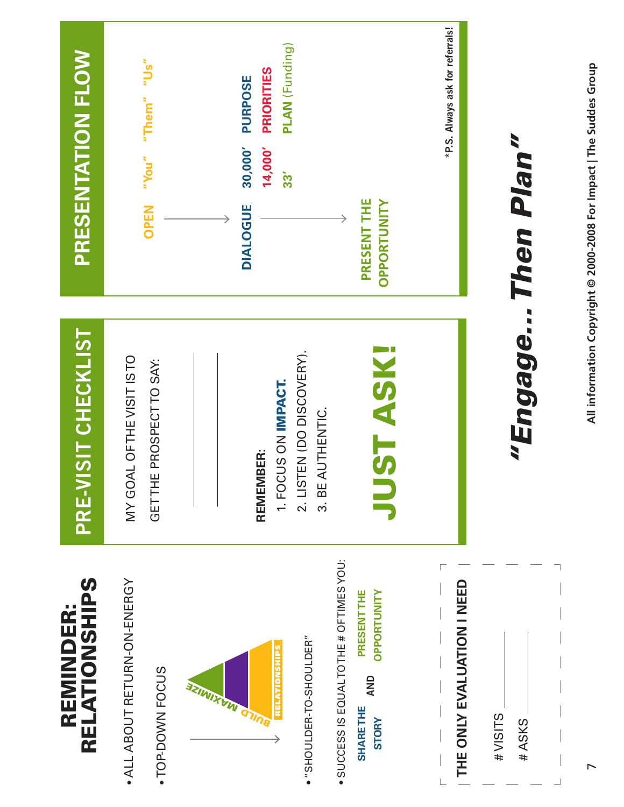

All information Copyright @ 2000-2008 For Impact | The Suddes Group **All information Copyright © 2000-2008 For Impact | The Suddes Group**

 $\overline{ }$